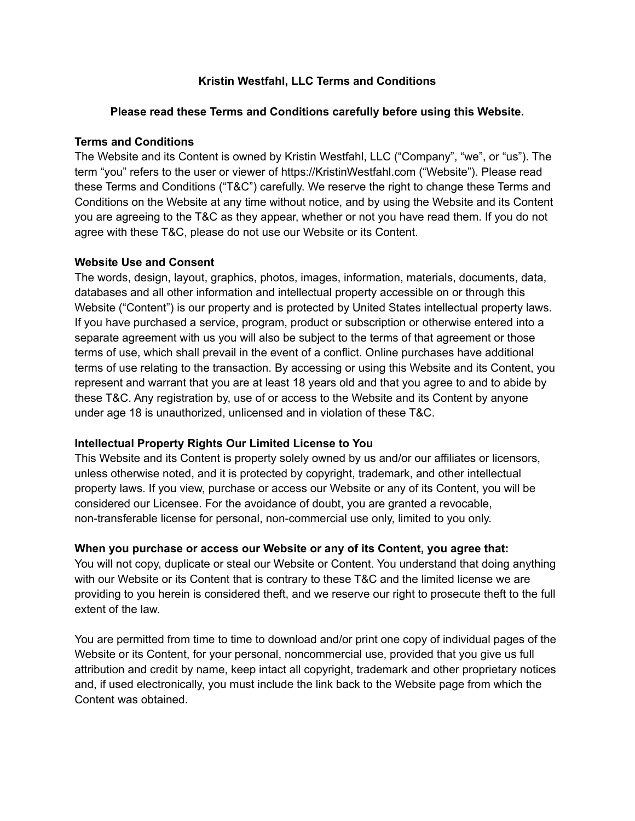## **Kristin Westfahl, LLC Terms and Conditions**

### **Please read these Terms and Conditions carefully before using this Website.**

#### **Terms and Conditions**

The Website and its Content is owned by Kristin Westfahl, LLC ("Company", "we", or "us"). The term "you" refers to the user or viewer of https://KristinWestfahl.com ("Website"). Please read these Terms and Conditions ("T&C") carefully. We reserve the right to change these Terms and Conditions on the Website at any time without notice, and by using the Website and its Content you are agreeing to the T&C as they appear, whether or not you have read them. If you do not agree with these T&C, please do not use our Website or its Content.

#### **Website Use and Consent**

The words, design, layout, graphics, photos, images, information, materials, documents, data, databases and all other information and intellectual property accessible on or through this Website ("Content") is our property and is protected by United States intellectual property laws. If you have purchased a service, program, product or subscription or otherwise entered into a separate agreement with us you will also be subject to the terms of that agreement or those terms of use, which shall prevail in the event of a conflict. Online purchases have additional terms of use relating to the transaction. By accessing or using this Website and its Content, you represent and warrant that you are at least 18 years old and that you agree to and to abide by these T&C. Any registration by, use of or access to the Website and its Content by anyone under age 18 is unauthorized, unlicensed and in violation of these T&C.

### **Intellectual Property Rights Our Limited License to You**

This Website and its Content is property solely owned by us and/or our affiliates or licensors, unless otherwise noted, and it is protected by copyright, trademark, and other intellectual property laws. If you view, purchase or access our Website or any of its Content, you will be considered our Licensee. For the avoidance of doubt, you are granted a revocable, non-transferable license for personal, non-commercial use only, limited to you only.

#### **When you purchase or access our Website or any of its Content, you agree that:**

You will not copy, duplicate or steal our Website or Content. You understand that doing anything with our Website or its Content that is contrary to these T&C and the limited license we are providing to you herein is considered theft, and we reserve our right to prosecute theft to the full extent of the law.

You are permitted from time to time to download and/or print one copy of individual pages of the Website or its Content, for your personal, noncommercial use, provided that you give us full attribution and credit by name, keep intact all copyright, trademark and other proprietary notices and, if used electronically, you must include the link back to the Website page from which the Content was obtained.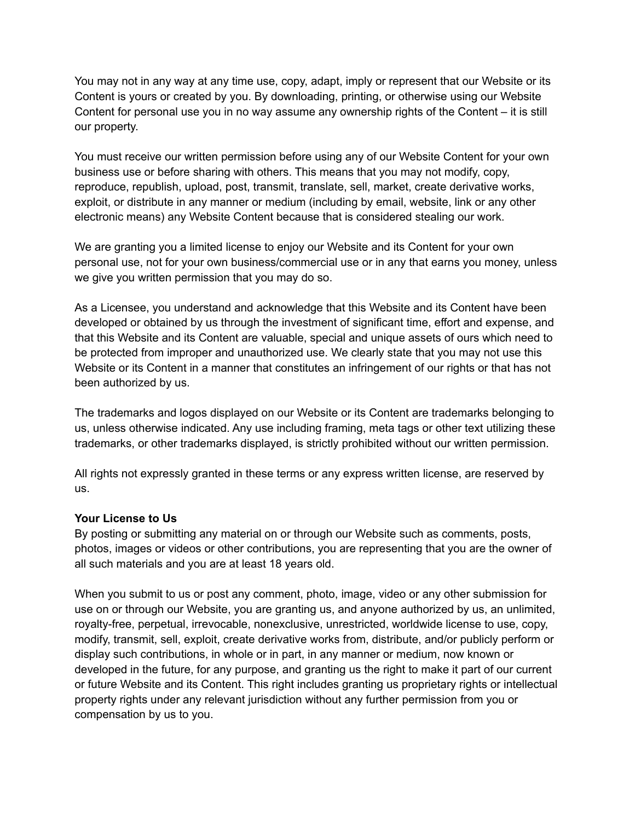You may not in any way at any time use, copy, adapt, imply or represent that our Website or its Content is yours or created by you. By downloading, printing, or otherwise using our Website Content for personal use you in no way assume any ownership rights of the Content – it is still our property.

You must receive our written permission before using any of our Website Content for your own business use or before sharing with others. This means that you may not modify, copy, reproduce, republish, upload, post, transmit, translate, sell, market, create derivative works, exploit, or distribute in any manner or medium (including by email, website, link or any other electronic means) any Website Content because that is considered stealing our work.

We are granting you a limited license to enjoy our Website and its Content for your own personal use, not for your own business/commercial use or in any that earns you money, unless we give you written permission that you may do so.

As a Licensee, you understand and acknowledge that this Website and its Content have been developed or obtained by us through the investment of significant time, effort and expense, and that this Website and its Content are valuable, special and unique assets of ours which need to be protected from improper and unauthorized use. We clearly state that you may not use this Website or its Content in a manner that constitutes an infringement of our rights or that has not been authorized by us.

The trademarks and logos displayed on our Website or its Content are trademarks belonging to us, unless otherwise indicated. Any use including framing, meta tags or other text utilizing these trademarks, or other trademarks displayed, is strictly prohibited without our written permission.

All rights not expressly granted in these terms or any express written license, are reserved by us.

### **Your License to Us**

By posting or submitting any material on or through our Website such as comments, posts, photos, images or videos or other contributions, you are representing that you are the owner of all such materials and you are at least 18 years old.

When you submit to us or post any comment, photo, image, video or any other submission for use on or through our Website, you are granting us, and anyone authorized by us, an unlimited, royalty-free, perpetual, irrevocable, nonexclusive, unrestricted, worldwide license to use, copy, modify, transmit, sell, exploit, create derivative works from, distribute, and/or publicly perform or display such contributions, in whole or in part, in any manner or medium, now known or developed in the future, for any purpose, and granting us the right to make it part of our current or future Website and its Content. This right includes granting us proprietary rights or intellectual property rights under any relevant jurisdiction without any further permission from you or compensation by us to you.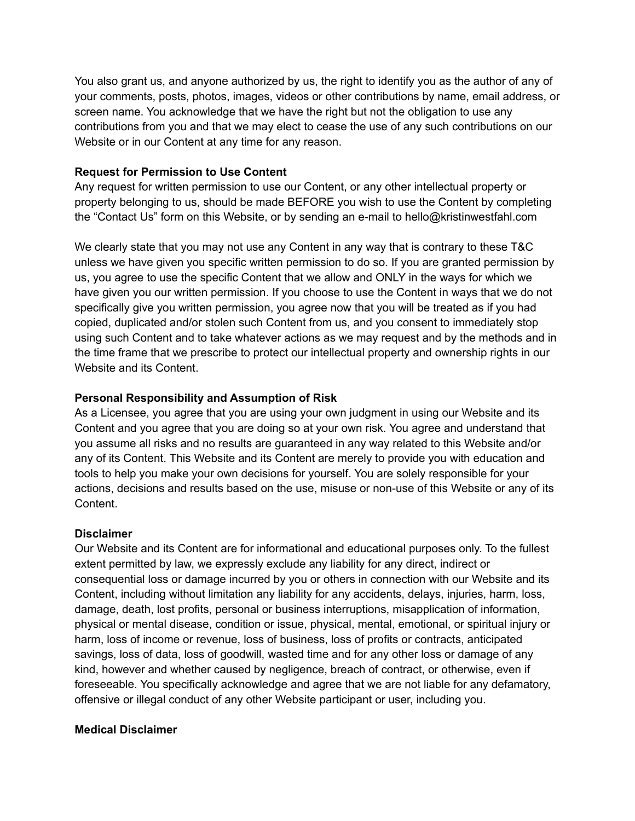You also grant us, and anyone authorized by us, the right to identify you as the author of any of your comments, posts, photos, images, videos or other contributions by name, email address, or screen name. You acknowledge that we have the right but not the obligation to use any contributions from you and that we may elect to cease the use of any such contributions on our Website or in our Content at any time for any reason.

## **Request for Permission to Use Content**

Any request for written permission to use our Content, or any other intellectual property or property belonging to us, should be made BEFORE you wish to use the Content by completing the "Contact Us" form on this Website, or by sending an e-mail to hello@kristinwestfahl.com

We clearly state that you may not use any Content in any way that is contrary to these T&C unless we have given you specific written permission to do so. If you are granted permission by us, you agree to use the specific Content that we allow and ONLY in the ways for which we have given you our written permission. If you choose to use the Content in ways that we do not specifically give you written permission, you agree now that you will be treated as if you had copied, duplicated and/or stolen such Content from us, and you consent to immediately stop using such Content and to take whatever actions as we may request and by the methods and in the time frame that we prescribe to protect our intellectual property and ownership rights in our Website and its Content.

## **Personal Responsibility and Assumption of Risk**

As a Licensee, you agree that you are using your own judgment in using our Website and its Content and you agree that you are doing so at your own risk. You agree and understand that you assume all risks and no results are guaranteed in any way related to this Website and/or any of its Content. This Website and its Content are merely to provide you with education and tools to help you make your own decisions for yourself. You are solely responsible for your actions, decisions and results based on the use, misuse or non-use of this Website or any of its Content.

### **Disclaimer**

Our Website and its Content are for informational and educational purposes only. To the fullest extent permitted by law, we expressly exclude any liability for any direct, indirect or consequential loss or damage incurred by you or others in connection with our Website and its Content, including without limitation any liability for any accidents, delays, injuries, harm, loss, damage, death, lost profits, personal or business interruptions, misapplication of information, physical or mental disease, condition or issue, physical, mental, emotional, or spiritual injury or harm, loss of income or revenue, loss of business, loss of profits or contracts, anticipated savings, loss of data, loss of goodwill, wasted time and for any other loss or damage of any kind, however and whether caused by negligence, breach of contract, or otherwise, even if foreseeable. You specifically acknowledge and agree that we are not liable for any defamatory, offensive or illegal conduct of any other Website participant or user, including you.

# **Medical Disclaimer**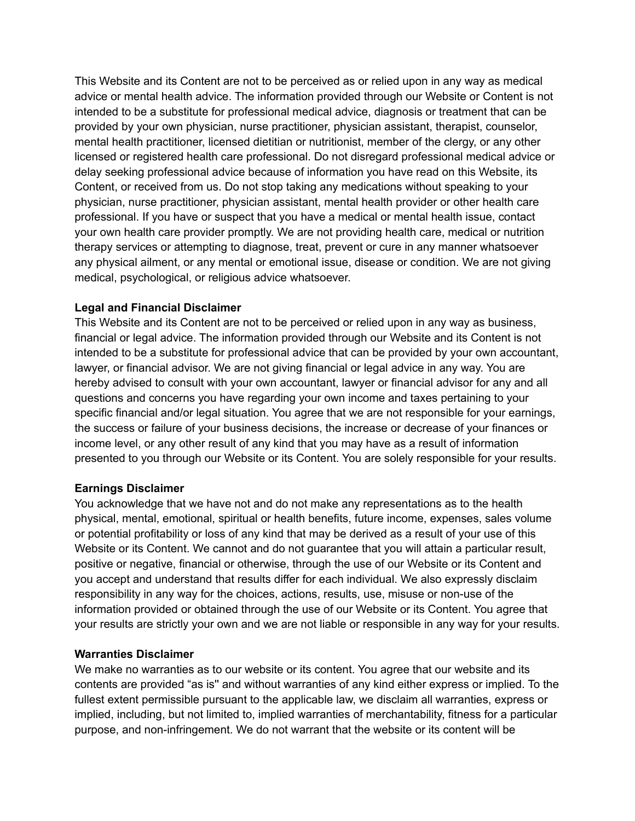This Website and its Content are not to be perceived as or relied upon in any way as medical advice or mental health advice. The information provided through our Website or Content is not intended to be a substitute for professional medical advice, diagnosis or treatment that can be provided by your own physician, nurse practitioner, physician assistant, therapist, counselor, mental health practitioner, licensed dietitian or nutritionist, member of the clergy, or any other licensed or registered health care professional. Do not disregard professional medical advice or delay seeking professional advice because of information you have read on this Website, its Content, or received from us. Do not stop taking any medications without speaking to your physician, nurse practitioner, physician assistant, mental health provider or other health care professional. If you have or suspect that you have a medical or mental health issue, contact your own health care provider promptly. We are not providing health care, medical or nutrition therapy services or attempting to diagnose, treat, prevent or cure in any manner whatsoever any physical ailment, or any mental or emotional issue, disease or condition. We are not giving medical, psychological, or religious advice whatsoever.

### **Legal and Financial Disclaimer**

This Website and its Content are not to be perceived or relied upon in any way as business, financial or legal advice. The information provided through our Website and its Content is not intended to be a substitute for professional advice that can be provided by your own accountant, lawyer, or financial advisor. We are not giving financial or legal advice in any way. You are hereby advised to consult with your own accountant, lawyer or financial advisor for any and all questions and concerns you have regarding your own income and taxes pertaining to your specific financial and/or legal situation. You agree that we are not responsible for your earnings, the success or failure of your business decisions, the increase or decrease of your finances or income level, or any other result of any kind that you may have as a result of information presented to you through our Website or its Content. You are solely responsible for your results.

### **Earnings Disclaimer**

You acknowledge that we have not and do not make any representations as to the health physical, mental, emotional, spiritual or health benefits, future income, expenses, sales volume or potential profitability or loss of any kind that may be derived as a result of your use of this Website or its Content. We cannot and do not guarantee that you will attain a particular result, positive or negative, financial or otherwise, through the use of our Website or its Content and you accept and understand that results differ for each individual. We also expressly disclaim responsibility in any way for the choices, actions, results, use, misuse or non-use of the information provided or obtained through the use of our Website or its Content. You agree that your results are strictly your own and we are not liable or responsible in any way for your results.

#### **Warranties Disclaimer**

We make no warranties as to our website or its content. You agree that our website and its contents are provided "as is'' and without warranties of any kind either express or implied. To the fullest extent permissible pursuant to the applicable law, we disclaim all warranties, express or implied, including, but not limited to, implied warranties of merchantability, fitness for a particular purpose, and non-infringement. We do not warrant that the website or its content will be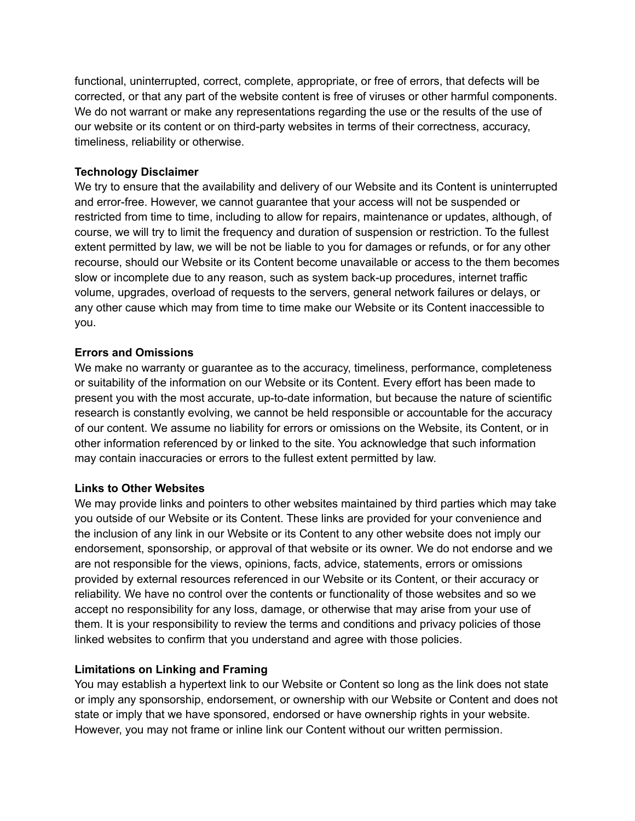functional, uninterrupted, correct, complete, appropriate, or free of errors, that defects will be corrected, or that any part of the website content is free of viruses or other harmful components. We do not warrant or make any representations regarding the use or the results of the use of our website or its content or on third-party websites in terms of their correctness, accuracy, timeliness, reliability or otherwise.

## **Technology Disclaimer**

We try to ensure that the availability and delivery of our Website and its Content is uninterrupted and error-free. However, we cannot guarantee that your access will not be suspended or restricted from time to time, including to allow for repairs, maintenance or updates, although, of course, we will try to limit the frequency and duration of suspension or restriction. To the fullest extent permitted by law, we will be not be liable to you for damages or refunds, or for any other recourse, should our Website or its Content become unavailable or access to the them becomes slow or incomplete due to any reason, such as system back-up procedures, internet traffic volume, upgrades, overload of requests to the servers, general network failures or delays, or any other cause which may from time to time make our Website or its Content inaccessible to you.

## **Errors and Omissions**

We make no warranty or guarantee as to the accuracy, timeliness, performance, completeness or suitability of the information on our Website or its Content. Every effort has been made to present you with the most accurate, up-to-date information, but because the nature of scientific research is constantly evolving, we cannot be held responsible or accountable for the accuracy of our content. We assume no liability for errors or omissions on the Website, its Content, or in other information referenced by or linked to the site. You acknowledge that such information may contain inaccuracies or errors to the fullest extent permitted by law.

# **Links to Other Websites**

We may provide links and pointers to other websites maintained by third parties which may take you outside of our Website or its Content. These links are provided for your convenience and the inclusion of any link in our Website or its Content to any other website does not imply our endorsement, sponsorship, or approval of that website or its owner. We do not endorse and we are not responsible for the views, opinions, facts, advice, statements, errors or omissions provided by external resources referenced in our Website or its Content, or their accuracy or reliability. We have no control over the contents or functionality of those websites and so we accept no responsibility for any loss, damage, or otherwise that may arise from your use of them. It is your responsibility to review the terms and conditions and privacy policies of those linked websites to confirm that you understand and agree with those policies.

# **Limitations on Linking and Framing**

You may establish a hypertext link to our Website or Content so long as the link does not state or imply any sponsorship, endorsement, or ownership with our Website or Content and does not state or imply that we have sponsored, endorsed or have ownership rights in your website. However, you may not frame or inline link our Content without our written permission.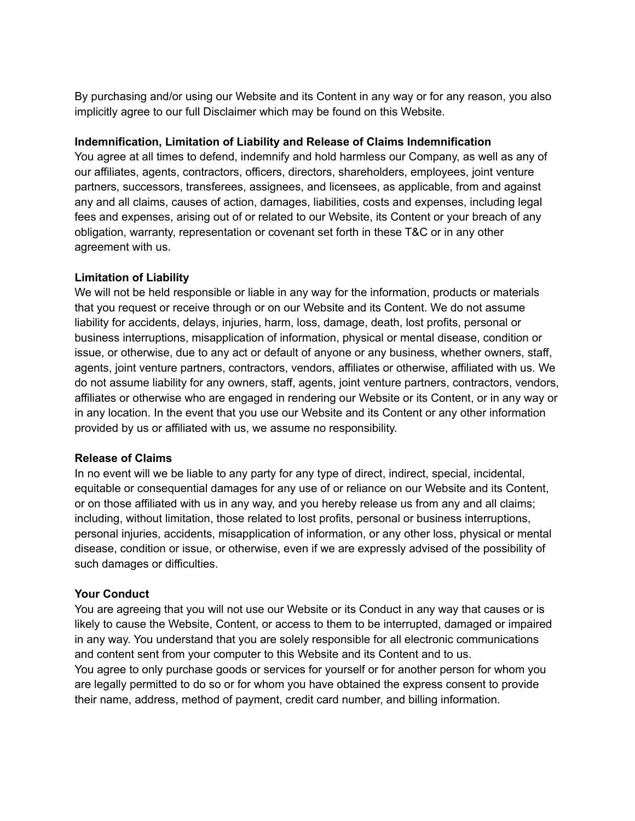By purchasing and/or using our Website and its Content in any way or for any reason, you also implicitly agree to our full Disclaimer which may be found on this Website.

## **Indemnification, Limitation of Liability and Release of Claims Indemnification**

You agree at all times to defend, indemnify and hold harmless our Company, as well as any of our affiliates, agents, contractors, officers, directors, shareholders, employees, joint venture partners, successors, transferees, assignees, and licensees, as applicable, from and against any and all claims, causes of action, damages, liabilities, costs and expenses, including legal fees and expenses, arising out of or related to our Website, its Content or your breach of any obligation, warranty, representation or covenant set forth in these T&C or in any other agreement with us.

## **Limitation of Liability**

We will not be held responsible or liable in any way for the information, products or materials that you request or receive through or on our Website and its Content. We do not assume liability for accidents, delays, injuries, harm, loss, damage, death, lost profits, personal or business interruptions, misapplication of information, physical or mental disease, condition or issue, or otherwise, due to any act or default of anyone or any business, whether owners, staff, agents, joint venture partners, contractors, vendors, affiliates or otherwise, affiliated with us. We do not assume liability for any owners, staff, agents, joint venture partners, contractors, vendors, affiliates or otherwise who are engaged in rendering our Website or its Content, or in any way or in any location. In the event that you use our Website and its Content or any other information provided by us or affiliated with us, we assume no responsibility.

### **Release of Claims**

In no event will we be liable to any party for any type of direct, indirect, special, incidental, equitable or consequential damages for any use of or reliance on our Website and its Content, or on those affiliated with us in any way, and you hereby release us from any and all claims; including, without limitation, those related to lost profits, personal or business interruptions, personal injuries, accidents, misapplication of information, or any other loss, physical or mental disease, condition or issue, or otherwise, even if we are expressly advised of the possibility of such damages or difficulties.

# **Your Conduct**

You are agreeing that you will not use our Website or its Conduct in any way that causes or is likely to cause the Website, Content, or access to them to be interrupted, damaged or impaired in any way. You understand that you are solely responsible for all electronic communications and content sent from your computer to this Website and its Content and to us. You agree to only purchase goods or services for yourself or for another person for whom you are legally permitted to do so or for whom you have obtained the express consent to provide their name, address, method of payment, credit card number, and billing information.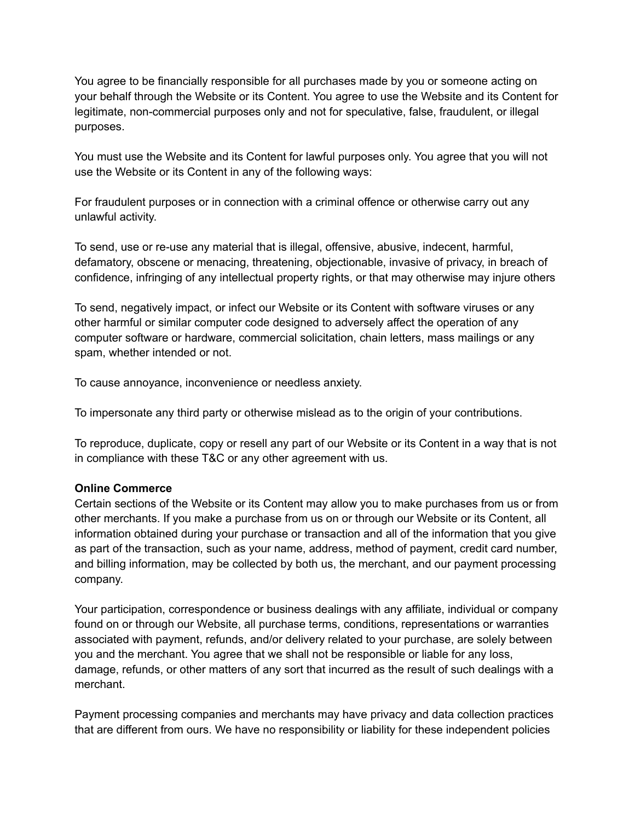You agree to be financially responsible for all purchases made by you or someone acting on your behalf through the Website or its Content. You agree to use the Website and its Content for legitimate, non-commercial purposes only and not for speculative, false, fraudulent, or illegal purposes.

You must use the Website and its Content for lawful purposes only. You agree that you will not use the Website or its Content in any of the following ways:

For fraudulent purposes or in connection with a criminal offence or otherwise carry out any unlawful activity.

To send, use or re-use any material that is illegal, offensive, abusive, indecent, harmful, defamatory, obscene or menacing, threatening, objectionable, invasive of privacy, in breach of confidence, infringing of any intellectual property rights, or that may otherwise may injure others

To send, negatively impact, or infect our Website or its Content with software viruses or any other harmful or similar computer code designed to adversely affect the operation of any computer software or hardware, commercial solicitation, chain letters, mass mailings or any spam, whether intended or not.

To cause annoyance, inconvenience or needless anxiety.

To impersonate any third party or otherwise mislead as to the origin of your contributions.

To reproduce, duplicate, copy or resell any part of our Website or its Content in a way that is not in compliance with these T&C or any other agreement with us.

# **Online Commerce**

Certain sections of the Website or its Content may allow you to make purchases from us or from other merchants. If you make a purchase from us on or through our Website or its Content, all information obtained during your purchase or transaction and all of the information that you give as part of the transaction, such as your name, address, method of payment, credit card number, and billing information, may be collected by both us, the merchant, and our payment processing company.

Your participation, correspondence or business dealings with any affiliate, individual or company found on or through our Website, all purchase terms, conditions, representations or warranties associated with payment, refunds, and/or delivery related to your purchase, are solely between you and the merchant. You agree that we shall not be responsible or liable for any loss, damage, refunds, or other matters of any sort that incurred as the result of such dealings with a merchant.

Payment processing companies and merchants may have privacy and data collection practices that are different from ours. We have no responsibility or liability for these independent policies